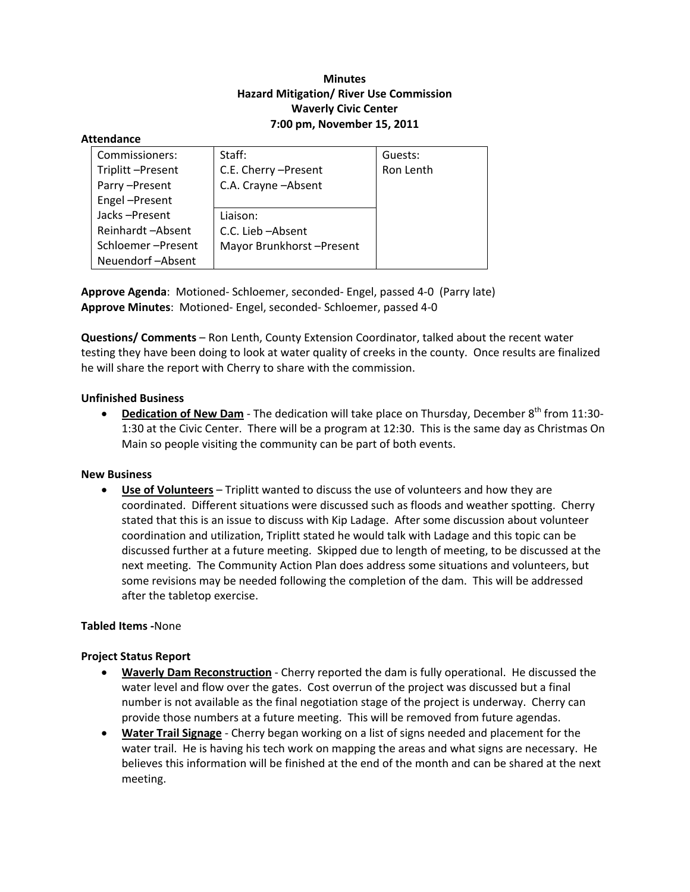# **Minutes Hazard Mitigation/ River Use Commission Waverly Civic Center 7:00 pm, November 15, 2011**

### **Attendance**

| Commissioners:    | Staff:                   | Guests:   |
|-------------------|--------------------------|-----------|
| Triplitt-Present  | C.E. Cherry - Present    | Ron Lenth |
| Parry-Present     | C.A. Crayne - Absent     |           |
| Engel-Present     |                          |           |
| Jacks-Present     | Liaison:                 |           |
| Reinhardt-Absent  | C.C. Lieb-Absent         |           |
| Schloemer-Present | Mayor Brunkhorst-Present |           |
| Neuendorf-Absent  |                          |           |

**Approve Agenda**: Motioned‐ Schloemer, seconded‐ Engel, passed 4‐0 (Parry late) **Approve Minutes**: Motioned‐ Engel, seconded‐ Schloemer, passed 4‐0

**Questions/ Comments** – Ron Lenth, County Extension Coordinator, talked about the recent water testing they have been doing to look at water quality of creeks in the county. Once results are finalized he will share the report with Cherry to share with the commission.

## **Unfinished Business**

• Dedication of New Dam - The dedication will take place on Thursday, December 8<sup>th</sup> from 11:30-1:30 at the Civic Center. There will be a program at 12:30. This is the same day as Christmas On Main so people visiting the community can be part of both events.

#### **New Business**

 **Use of Volunteers** – Triplitt wanted to discuss the use of volunteers and how they are coordinated. Different situations were discussed such as floods and weather spotting. Cherry stated that this is an issue to discuss with Kip Ladage. After some discussion about volunteer coordination and utilization, Triplitt stated he would talk with Ladage and this topic can be discussed further at a future meeting. Skipped due to length of meeting, to be discussed at the next meeting. The Community Action Plan does address some situations and volunteers, but some revisions may be needed following the completion of the dam. This will be addressed after the tabletop exercise.

## **Tabled Items ‐**None

## **Project Status Report**

- **Waverly Dam Reconstruction** ‐ Cherry reported the dam is fully operational. He discussed the water level and flow over the gates. Cost overrun of the project was discussed but a final number is not available as the final negotiation stage of the project is underway. Cherry can provide those numbers at a future meeting. This will be removed from future agendas.
- **Water Trail Signage** ‐ Cherry began working on a list of signs needed and placement for the water trail. He is having his tech work on mapping the areas and what signs are necessary. He believes this information will be finished at the end of the month and can be shared at the next meeting.